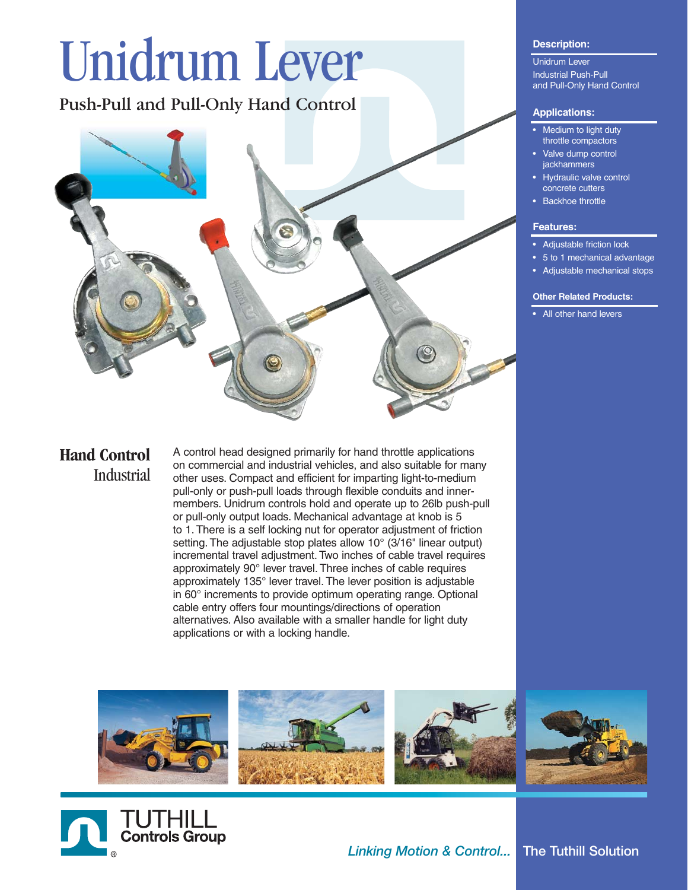# Unidrum Lever

Push-Pull and Pull-Only Hand Control



# **Hand Control Industrial**

A control head designed primarily for hand throttle applications on commercial and industrial vehicles, and also suitable for many other uses. Compact and efficient for imparting light-to-medium pull-only or push-pull loads through flexible conduits and innermembers. Unidrum controls hold and operate up to 26lb push-pull or pull-only output loads. Mechanical advantage at knob is 5 to 1. There is a self locking nut for operator adjustment of friction setting. The adjustable stop plates allow 10° (3/16" linear output) incremental travel adjustment. Two inches of cable travel requires approximately 90° lever travel. Three inches of cable requires approximately 135° lever travel. The lever position is adjustable in 60° increments to provide optimum operating range. Optional cable entry offers four mountings/directions of operation alternatives. Also available with a smaller handle for light duty applications or with a locking handle.

### **Description:**

Unidrum Lever Industrial Push-Pull and Pull-Only Hand Control

#### **Applications:**

- **Medium to light duty** throttle compactors
- Valve dump control **jackhammers**
- Hydraulic valve control concrete cutters
- **Backhoe throttle**

#### **Features:**

- Adiustable friction lock
- 5 to 1 mechanical advantage
- Adjustable mechanical stops

#### **Other Related Products:**

**•** All other hand levers



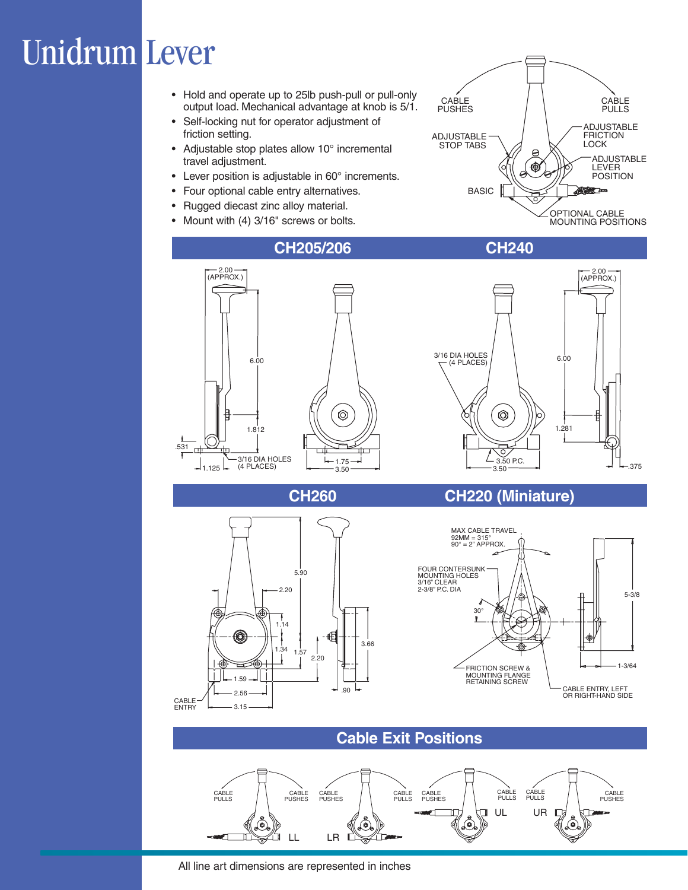# Unidrum Lever

- Hold and operate up to 25lb push-pull or pull-only output load. Mechanical advantage at knob is 5/1.
- Self-locking nut for operator adjustment of friction setting.
- Adjustable stop plates allow 10° incremental travel adjustment.
- Lever position is adjustable in 60° increments.
- Four optional cable entry alternatives.
- Rugged diecast zinc alloy material.
- Mount with (4) 3/16" screws or bolts.







# **CH260 CH220 (Miniature)**





### **Cable Exit Positions**



All line art dimensions are represented in inches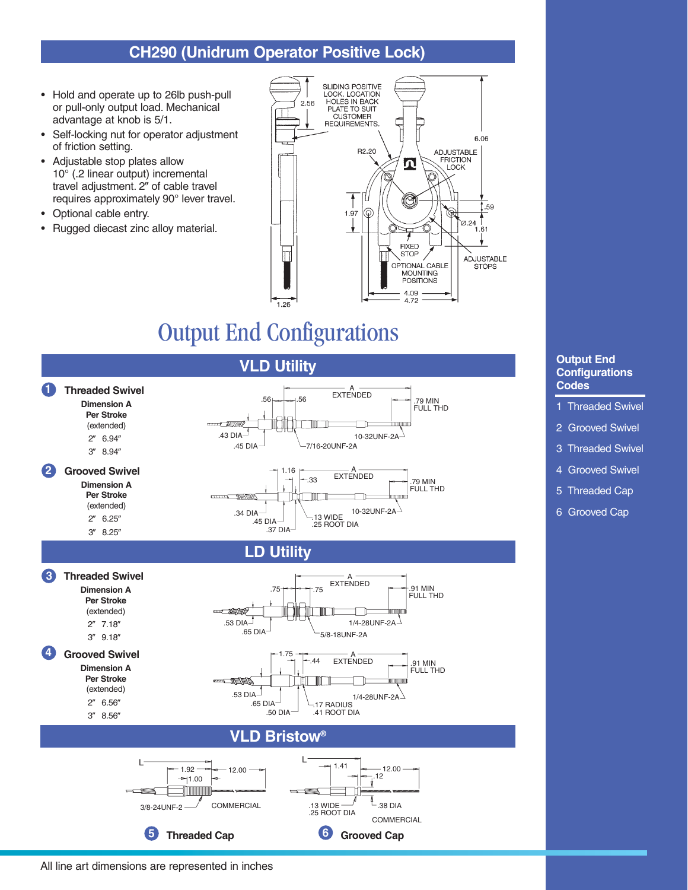# **CH290 (Unidrum Operator Positive Lock)**

- Hold and operate up to 26lb push-pull or pull-only output load. Mechanical advantage at knob is 5/1.
- Self-locking nut for operator adjustment of friction setting.
- Adjustable stop plates allow 10° (.2 linear output) incremental travel adjustment. 2" of cable travel requires approximately 90° lever travel.
- Optional cable entry.
- Rugged diecast zinc alloy material.



# Output End Configurations



#### **Output End Configurations Codes**

- 1 Threaded Swivel
- 2 Grooved Swivel
- 3 Threaded Swivel
- 4 Grooved Swivel
- 5 Threaded Cap
- 6 Grooved Cap